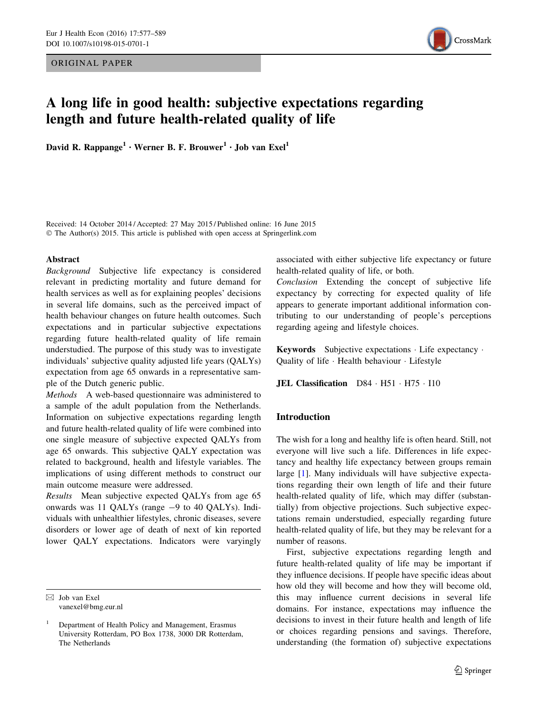ORIGINAL PAPER



# A long life in good health: subjective expectations regarding length and future health-related quality of life

David R. Rappange<sup>1</sup> • Werner B. F. Brouwer<sup>1</sup> • Job van Exel<sup>1</sup>

Received: 14 October 2014 / Accepted: 27 May 2015 / Published online: 16 June 2015 © The Author(s) 2015. This article is published with open access at Springerlink.com

## Abstract

Background Subjective life expectancy is considered relevant in predicting mortality and future demand for health services as well as for explaining peoples' decisions in several life domains, such as the perceived impact of health behaviour changes on future health outcomes. Such expectations and in particular subjective expectations regarding future health-related quality of life remain understudied. The purpose of this study was to investigate individuals' subjective quality adjusted life years (QALYs) expectation from age 65 onwards in a representative sample of the Dutch generic public.

Methods A web-based questionnaire was administered to a sample of the adult population from the Netherlands. Information on subjective expectations regarding length and future health-related quality of life were combined into one single measure of subjective expected QALYs from age 65 onwards. This subjective QALY expectation was related to background, health and lifestyle variables. The implications of using different methods to construct our main outcome measure were addressed.

Results Mean subjective expected QALYs from age 65 onwards was 11 QALYs (range -9 to 40 QALYs). Individuals with unhealthier lifestyles, chronic diseases, severe disorders or lower age of death of next of kin reported lower QALY expectations. Indicators were varyingly

 $\boxtimes$  Job van Exel vanexel@bmg.eur.nl associated with either subjective life expectancy or future health-related quality of life, or both.

Conclusion Extending the concept of subjective life expectancy by correcting for expected quality of life appears to generate important additional information contributing to our understanding of people's perceptions regarding ageing and lifestyle choices.

Keywords Subjective expectations - Life expectancy - Quality of life - Health behaviour - Lifestyle

JEL Classification D84 · H51 · H75 · I10

## Introduction

The wish for a long and healthy life is often heard. Still, not everyone will live such a life. Differences in life expectancy and healthy life expectancy between groups remain large [\[1](#page-12-0)]. Many individuals will have subjective expectations regarding their own length of life and their future health-related quality of life, which may differ (substantially) from objective projections. Such subjective expectations remain understudied, especially regarding future health-related quality of life, but they may be relevant for a number of reasons.

First, subjective expectations regarding length and future health-related quality of life may be important if they influence decisions. If people have specific ideas about how old they will become and how they will become old, this may influence current decisions in several life domains. For instance, expectations may influence the decisions to invest in their future health and length of life or choices regarding pensions and savings. Therefore, understanding (the formation of) subjective expectations

<sup>1</sup> Department of Health Policy and Management, Erasmus University Rotterdam, PO Box 1738, 3000 DR Rotterdam, The Netherlands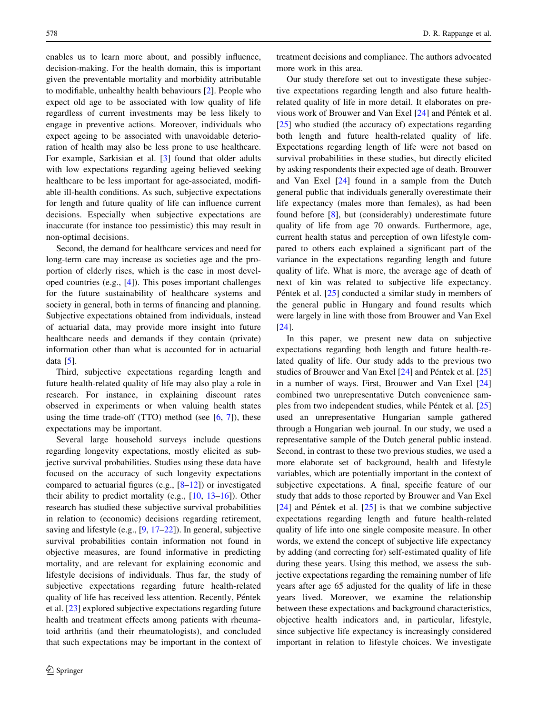enables us to learn more about, and possibly influence, decision-making. For the health domain, this is important given the preventable mortality and morbidity attributable to modifiable, unhealthy health behaviours [[2\]](#page-12-0). People who expect old age to be associated with low quality of life regardless of current investments may be less likely to engage in preventive actions. Moreover, individuals who expect ageing to be associated with unavoidable deterioration of health may also be less prone to use healthcare. For example, Sarkisian et al. [[3\]](#page-12-0) found that older adults with low expectations regarding ageing believed seeking healthcare to be less important for age-associated, modifiable ill-health conditions. As such, subjective expectations for length and future quality of life can influence current decisions. Especially when subjective expectations are inaccurate (for instance too pessimistic) this may result in non-optimal decisions.

Second, the demand for healthcare services and need for long-term care may increase as societies age and the proportion of elderly rises, which is the case in most developed countries (e.g., [[4\]](#page-12-0)). This poses important challenges for the future sustainability of healthcare systems and society in general, both in terms of financing and planning. Subjective expectations obtained from individuals, instead of actuarial data, may provide more insight into future healthcare needs and demands if they contain (private) information other than what is accounted for in actuarial data  $[5]$  $[5]$ .

Third, subjective expectations regarding length and future health-related quality of life may also play a role in research. For instance, in explaining discount rates observed in experiments or when valuing health states using the time trade-off  $(TTO)$  method (see  $[6, 7]$  $[6, 7]$  $[6, 7]$ ), these expectations may be important.

Several large household surveys include questions regarding longevity expectations, mostly elicited as subjective survival probabilities. Studies using these data have focused on the accuracy of such longevity expectations compared to actuarial figures (e.g., [\[8–12](#page-12-0)]) or investigated their ability to predict mortality (e.g., [[10,](#page-12-0) [13–16\]](#page-12-0)). Other research has studied these subjective survival probabilities in relation to (economic) decisions regarding retirement, saving and lifestyle (e.g., [\[9](#page-12-0), [17–22\]](#page-12-0)). In general, subjective survival probabilities contain information not found in objective measures, are found informative in predicting mortality, and are relevant for explaining economic and lifestyle decisions of individuals. Thus far, the study of subjective expectations regarding future health-related quality of life has received less attention. Recently, Péntek et al. [\[23](#page-12-0)] explored subjective expectations regarding future health and treatment effects among patients with rheumatoid arthritis (and their rheumatologists), and concluded that such expectations may be important in the context of

treatment decisions and compliance. The authors advocated more work in this area.

Our study therefore set out to investigate these subjective expectations regarding length and also future healthrelated quality of life in more detail. It elaborates on pre-vious work of Brouwer and Van Exel [\[24](#page-12-0)] and Péntek et al. [\[25](#page-12-0)] who studied (the accuracy of) expectations regarding both length and future health-related quality of life. Expectations regarding length of life were not based on survival probabilities in these studies, but directly elicited by asking respondents their expected age of death. Brouwer and Van Exel [[24](#page-12-0)] found in a sample from the Dutch general public that individuals generally overestimate their life expectancy (males more than females), as had been found before [\[8](#page-12-0)], but (considerably) underestimate future quality of life from age 70 onwards. Furthermore, age, current health status and perception of own lifestyle compared to others each explained a significant part of the variance in the expectations regarding length and future quality of life. What is more, the average age of death of next of kin was related to subjective life expectancy. Péntek et al. [[25\]](#page-12-0) conducted a similar study in members of the general public in Hungary and found results which were largely in line with those from Brouwer and Van Exel [\[24](#page-12-0)].

In this paper, we present new data on subjective expectations regarding both length and future health-related quality of life. Our study adds to the previous two studies of Brouwer and Van Exel  $[24]$  $[24]$  and Péntek et al.  $[25]$  $[25]$ in a number of ways. First, Brouwer and Van Exel [[24\]](#page-12-0) combined two unrepresentative Dutch convenience samples from two independent studies, while Péntek et al.  $[25]$  $[25]$ used an unrepresentative Hungarian sample gathered through a Hungarian web journal. In our study, we used a representative sample of the Dutch general public instead. Second, in contrast to these two previous studies, we used a more elaborate set of background, health and lifestyle variables, which are potentially important in the context of subjective expectations. A final, specific feature of our study that adds to those reported by Brouwer and Van Exel [\[24](#page-12-0)] and Péntek et al.  $[25]$  $[25]$  is that we combine subjective expectations regarding length and future health-related quality of life into one single composite measure. In other words, we extend the concept of subjective life expectancy by adding (and correcting for) self-estimated quality of life during these years. Using this method, we assess the subjective expectations regarding the remaining number of life years after age 65 adjusted for the quality of life in these years lived. Moreover, we examine the relationship between these expectations and background characteristics, objective health indicators and, in particular, lifestyle, since subjective life expectancy is increasingly considered important in relation to lifestyle choices. We investigate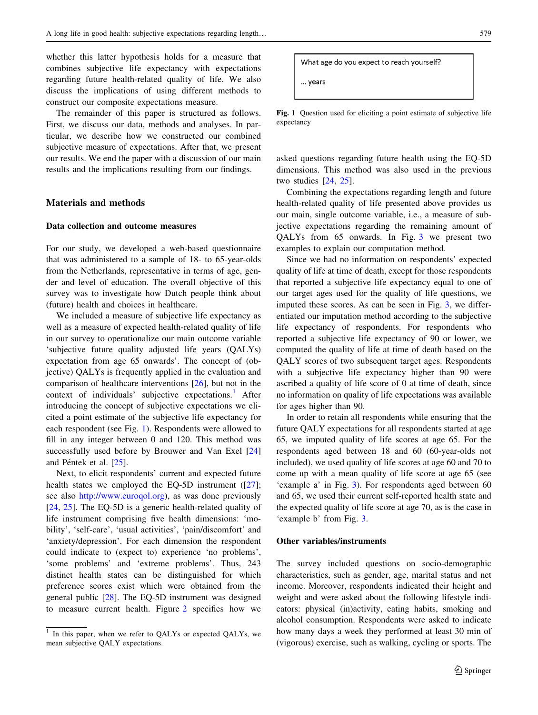whether this latter hypothesis holds for a measure that combines subjective life expectancy with expectations regarding future health-related quality of life. We also discuss the implications of using different methods to construct our composite expectations measure.

The remainder of this paper is structured as follows. First, we discuss our data, methods and analyses. In particular, we describe how we constructed our combined subjective measure of expectations. After that, we present our results. We end the paper with a discussion of our main results and the implications resulting from our findings.

## Materials and methods

## Data collection and outcome measures

For our study, we developed a web-based questionnaire that was administered to a sample of 18- to 65-year-olds from the Netherlands, representative in terms of age, gender and level of education. The overall objective of this survey was to investigate how Dutch people think about (future) health and choices in healthcare.

We included a measure of subjective life expectancy as well as a measure of expected health-related quality of life in our survey to operationalize our main outcome variable 'subjective future quality adjusted life years (QALYs) expectation from age 65 onwards'. The concept of (objective) QALYs is frequently applied in the evaluation and comparison of healthcare interventions [\[26](#page-12-0)], but not in the context of individuals' subjective expectations.<sup>1</sup> After introducing the concept of subjective expectations we elicited a point estimate of the subjective life expectancy for each respondent (see Fig. 1). Respondents were allowed to fill in any integer between 0 and 120. This method was successfully used before by Brouwer and Van Exel [[24\]](#page-12-0) and Péntek et al. [\[25](#page-12-0)].

Next, to elicit respondents' current and expected future health states we employed the EQ-5D instrument ([[27](#page-12-0)]; see also <http://www.euroqol.org>), as was done previously [\[24](#page-12-0), [25](#page-12-0)]. The EQ-5D is a generic health-related quality of life instrument comprising five health dimensions: 'mobility', 'self-care', 'usual activities', 'pain/discomfort' and 'anxiety/depression'. For each dimension the respondent could indicate to (expect to) experience 'no problems', 'some problems' and 'extreme problems'. Thus, 243 distinct health states can be distinguished for which preference scores exist which were obtained from the general public [\[28](#page-12-0)]. The EQ-5D instrument was designed to measure current health. Figure [2](#page-3-0) specifies how we

```
What age do you expect to reach yourself?
... years
```
Fig. 1 Question used for eliciting a point estimate of subjective life expectancy

asked questions regarding future health using the EQ-5D dimensions. This method was also used in the previous two studies [\[24](#page-12-0), [25\]](#page-12-0).

Combining the expectations regarding length and future health-related quality of life presented above provides us our main, single outcome variable, i.e., a measure of subjective expectations regarding the remaining amount of QALYs from 65 onwards. In Fig. [3](#page-4-0) we present two examples to explain our computation method.

Since we had no information on respondents' expected quality of life at time of death, except for those respondents that reported a subjective life expectancy equal to one of our target ages used for the quality of life questions, we imputed these scores. As can be seen in Fig. [3,](#page-4-0) we differentiated our imputation method according to the subjective life expectancy of respondents. For respondents who reported a subjective life expectancy of 90 or lower, we computed the quality of life at time of death based on the QALY scores of two subsequent target ages. Respondents with a subjective life expectancy higher than 90 were ascribed a quality of life score of 0 at time of death, since no information on quality of life expectations was available for ages higher than 90.

In order to retain all respondents while ensuring that the future QALY expectations for all respondents started at age 65, we imputed quality of life scores at age 65. For the respondents aged between 18 and 60 (60-year-olds not included), we used quality of life scores at age 60 and 70 to come up with a mean quality of life score at age 65 (see 'example a' in Fig. [3\)](#page-4-0). For respondents aged between 60 and 65, we used their current self-reported health state and the expected quality of life score at age 70, as is the case in 'example b' from Fig. [3](#page-4-0).

## Other variables/instruments

The survey included questions on socio-demographic characteristics, such as gender, age, marital status and net income. Moreover, respondents indicated their height and weight and were asked about the following lifestyle indicators: physical (in)activity, eating habits, smoking and alcohol consumption. Respondents were asked to indicate how many days a week they performed at least 30 min of (vigorous) exercise, such as walking, cycling or sports. The

In this paper, when we refer to QALYs or expected QALYs, we mean subjective QALY expectations.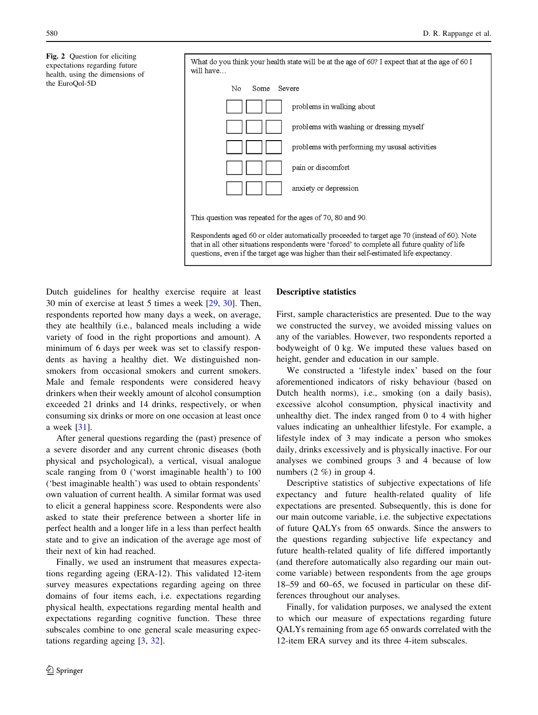<span id="page-3-0"></span>Fig. 2 Question for eliciting expectations regarding future health, using the dimensions of the EuroQol-5D



Dutch guidelines for healthy exercise require at least 30 min of exercise at least 5 times a week [\[29](#page-12-0), [30\]](#page-12-0). Then, respondents reported how many days a week, on average, they ate healthily (i.e., balanced meals including a wide variety of food in the right proportions and amount). A minimum of 6 days per week was set to classify respondents as having a healthy diet. We distinguished nonsmokers from occasional smokers and current smokers. Male and female respondents were considered heavy drinkers when their weekly amount of alcohol consumption exceeded 21 drinks and 14 drinks, respectively, or when consuming six drinks or more on one occasion at least once a week [[31\]](#page-12-0).

After general questions regarding the (past) presence of a severe disorder and any current chronic diseases (both physical and psychological), a vertical, visual analogue scale ranging from 0 ('worst imaginable health') to 100 ('best imaginable health') was used to obtain respondents' own valuation of current health. A similar format was used to elicit a general happiness score. Respondents were also asked to state their preference between a shorter life in perfect health and a longer life in a less than perfect health state and to give an indication of the average age most of their next of kin had reached.

Finally, we used an instrument that measures expectations regarding ageing (ERA-12). This validated 12-item survey measures expectations regarding ageing on three domains of four items each, i.e. expectations regarding physical health, expectations regarding mental health and expectations regarding cognitive function. These three subscales combine to one general scale measuring expectations regarding ageing [\[3](#page-12-0), [32\]](#page-12-0).

#### Descriptive statistics

First, sample characteristics are presented. Due to the way we constructed the survey, we avoided missing values on any of the variables. However, two respondents reported a bodyweight of 0 kg. We imputed these values based on height, gender and education in our sample.

We constructed a 'lifestyle index' based on the four aforementioned indicators of risky behaviour (based on Dutch health norms), i.e., smoking (on a daily basis), excessive alcohol consumption, physical inactivity and unhealthy diet. The index ranged from 0 to 4 with higher values indicating an unhealthier lifestyle. For example, a lifestyle index of 3 may indicate a person who smokes daily, drinks excessively and is physically inactive. For our analyses we combined groups 3 and 4 because of low numbers (2 %) in group 4.

Descriptive statistics of subjective expectations of life expectancy and future health-related quality of life expectations are presented. Subsequently, this is done for our main outcome variable, i.e. the subjective expectations of future QALYs from 65 onwards. Since the answers to the questions regarding subjective life expectancy and future health-related quality of life differed importantly (and therefore automatically also regarding our main outcome variable) between respondents from the age groups 18–59 and 60–65, we focused in particular on these differences throughout our analyses.

Finally, for validation purposes, we analysed the extent to which our measure of expectations regarding future QALYs remaining from age 65 onwards correlated with the 12-item ERA survey and its three 4-item subscales.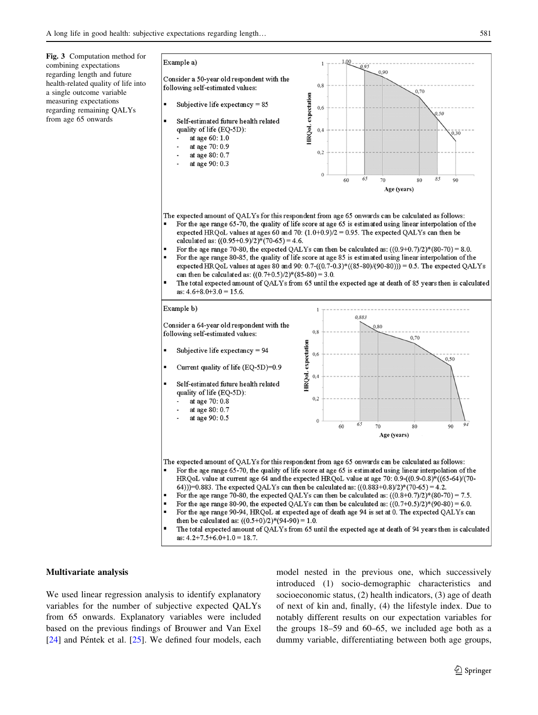<span id="page-4-0"></span>Fig. 3 Computation method for combining expectations regarding length and future health-related quality of life into a single outcome variable measuring expectations regarding remaining QALYs from age 65 onwards



#### Multivariate analysis

We used linear regression analysis to identify explanatory variables for the number of subjective expected QALYs from 65 onwards. Explanatory variables were included based on the previous findings of Brouwer and Van Exel  $[24]$  $[24]$  and Péntek et al.  $[25]$  $[25]$ . We defined four models, each model nested in the previous one, which successively introduced (1) socio-demographic characteristics and socioeconomic status, (2) health indicators, (3) age of death of next of kin and, finally, (4) the lifestyle index. Due to notably different results on our expectation variables for the groups 18–59 and 60–65, we included age both as a dummy variable, differentiating between both age groups,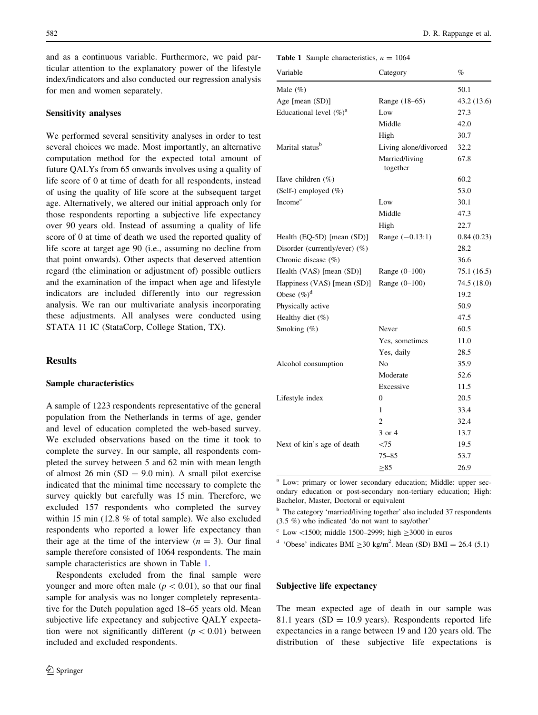and as a continuous variable. Furthermore, we paid particular attention to the explanatory power of the lifestyle index/indicators and also conducted our regression analysis for men and women separately.

## Sensitivity analyses

We performed several sensitivity analyses in order to test several choices we made. Most importantly, an alternative computation method for the expected total amount of future QALYs from 65 onwards involves using a quality of life score of 0 at time of death for all respondents, instead of using the quality of life score at the subsequent target age. Alternatively, we altered our initial approach only for those respondents reporting a subjective life expectancy over 90 years old. Instead of assuming a quality of life score of 0 at time of death we used the reported quality of life score at target age 90 (i.e., assuming no decline from that point onwards). Other aspects that deserved attention regard (the elimination or adjustment of) possible outliers and the examination of the impact when age and lifestyle indicators are included differently into our regression analysis. We ran our multivariate analysis incorporating these adjustments. All analyses were conducted using STATA 11 IC (StataCorp, College Station, TX).

## Results

## Sample characteristics

A sample of 1223 respondents representative of the general population from the Netherlands in terms of age, gender and level of education completed the web-based survey. We excluded observations based on the time it took to complete the survey. In our sample, all respondents completed the survey between 5 and 62 min with mean length of almost 26 min  $(SD = 9.0 \text{ min})$ . A small pilot exercise indicated that the minimal time necessary to complete the survey quickly but carefully was 15 min. Therefore, we excluded 157 respondents who completed the survey within 15 min (12.8 % of total sample). We also excluded respondents who reported a lower life expectancy than their age at the time of the interview  $(n = 3)$ . Our final sample therefore consisted of 1064 respondents. The main sample characteristics are shown in Table 1.

Respondents excluded from the final sample were younger and more often male ( $p < 0.01$ ), so that our final sample for analysis was no longer completely representative for the Dutch population aged 18–65 years old. Mean subjective life expectancy and subjective QALY expectation were not significantly different ( $p < 0.01$ ) between included and excluded respondents.

**Table 1** Sample characteristics,  $n = 1064$ 

| Variable                         | Category                   | $\%$        |
|----------------------------------|----------------------------|-------------|
| Male $(\%)$                      |                            | 50.1        |
| Age [mean (SD)]                  | Range (18–65)              | 43.2 (13.6) |
| Educational level $(\%)^a$       | Low                        | 27.3        |
|                                  | Middle                     | 42.0        |
|                                  | High                       | 30.7        |
| Marital status <sup>b</sup>      | Living alone/divorced      | 32.2        |
|                                  | Married/living<br>together | 67.8        |
| Have children $(\%)$             |                            | 60.2        |
| (Self-) employed (%)             |                            | 53.0        |
| Income <sup>c</sup>              | Low                        | 30.1        |
|                                  | Middle                     | 47.3        |
|                                  | High                       | 22.7        |
| Health $(EQ-5D)$ [mean $(SD)$ ]  | Range $(-0.13:1)$          | 0.84(0.23)  |
| Disorder (currently/ever) $(\%)$ |                            | 28.2        |
| Chronic disease $(\%)$           |                            | 36.6        |
| Health (VAS) [mean (SD)]         | Range $(0-100)$            | 75.1(16.5)  |
| Happiness (VAS) [mean (SD)]      | Range (0-100)              | 74.5 (18.0) |
| Obese $(\%)^d$                   |                            | 19.2        |
| Physically active                |                            | 50.9        |
| Healthy diet (%)                 |                            | 47.5        |
| Smoking (%)                      | Never                      | 60.5        |
|                                  | Yes, sometimes             | 11.0        |
|                                  | Yes, daily                 | 28.5        |
| Alcohol consumption              | N <sub>0</sub>             | 35.9        |
|                                  | Moderate                   | 52.6        |
|                                  | Excessive                  | 11.5        |
| Lifestyle index                  | $\Omega$                   | 20.5        |
|                                  | 1                          | 33.4        |
|                                  | $\mathfrak{D}$             | 32.4        |
|                                  | 3 or 4                     | 13.7        |
| Next of kin's age of death       | $\leq$ 75                  | 19.5        |
|                                  | 75–85                      | 53.7        |
|                                  | >85                        | 26.9        |
|                                  |                            |             |

<sup>a</sup> Low: primary or lower secondary education; Middle: upper secondary education or post-secondary non-tertiary education; High: Bachelor, Master, Doctoral or equivalent

<sup>b</sup> The category 'married/living together' also included 37 respondents (3.5 %) who indicated 'do not want to say/other'

 $\degree$  Low <1500; middle 1500–2999; high  $\geq$ 3000 in euros

<sup>d</sup> 'Obese' indicates BMI  $\geq$  30 kg/m<sup>2</sup>. Mean (SD) BMI = 26.4 (5.1)

## Subjective life expectancy

The mean expected age of death in our sample was 81.1 years ( $SD = 10.9$  years). Respondents reported life expectancies in a range between 19 and 120 years old. The distribution of these subjective life expectations is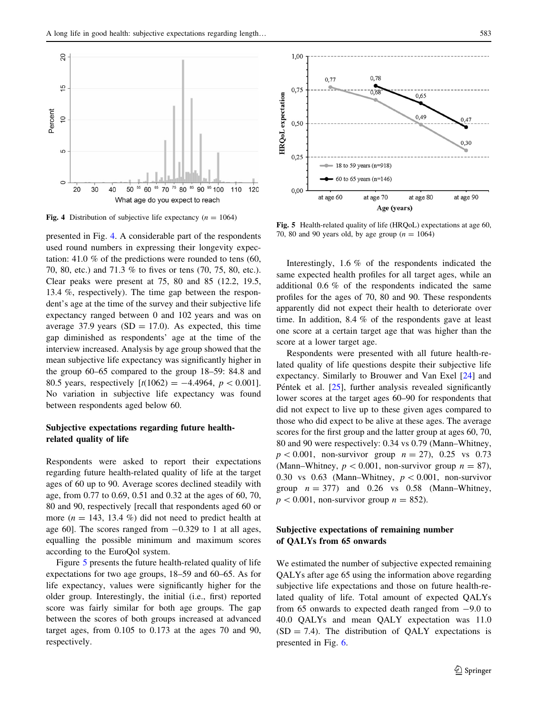<span id="page-6-0"></span>

Fig. 4 Distribution of subjective life expectancy  $(n = 1064)$ 

presented in Fig. 4. A considerable part of the respondents used round numbers in expressing their longevity expectation: 41.0 % of the predictions were rounded to tens (60, 70, 80, etc.) and 71.3 % to fives or tens (70, 75, 80, etc.). Clear peaks were present at 75, 80 and 85 (12.2, 19.5, 13.4 %, respectively). The time gap between the respondent's age at the time of the survey and their subjective life expectancy ranged between 0 and 102 years and was on average 37.9 years ( $SD = 17.0$ ). As expected, this time gap diminished as respondents' age at the time of the interview increased. Analysis by age group showed that the mean subjective life expectancy was significantly higher in the group 60–65 compared to the group 18–59: 84.8 and 80.5 years, respectively  $[t(1062) = -4.4964, p < 0.001]$ . No variation in subjective life expectancy was found between respondents aged below 60.

# Subjective expectations regarding future healthrelated quality of life

Respondents were asked to report their expectations regarding future health-related quality of life at the target ages of 60 up to 90. Average scores declined steadily with age, from 0.77 to 0.69, 0.51 and 0.32 at the ages of 60, 70, 80 and 90, respectively [recall that respondents aged 60 or more ( $n = 143, 13.4\%$ ) did not need to predict health at age 60]. The scores ranged from  $-0.329$  to 1 at all ages, equalling the possible minimum and maximum scores according to the EuroQol system.

Figure 5 presents the future health-related quality of life expectations for two age groups, 18–59 and 60–65. As for life expectancy, values were significantly higher for the older group. Interestingly, the initial (i.e., first) reported score was fairly similar for both age groups. The gap between the scores of both groups increased at advanced target ages, from 0.105 to 0.173 at the ages 70 and 90, respectively.



Fig. 5 Health-related quality of life (HRQoL) expectations at age 60, 70, 80 and 90 years old, by age group  $(n = 1064)$ 

Interestingly, 1.6 % of the respondents indicated the same expected health profiles for all target ages, while an additional 0.6 % of the respondents indicated the same profiles for the ages of 70, 80 and 90. These respondents apparently did not expect their health to deteriorate over time. In addition, 8.4 % of the respondents gave at least one score at a certain target age that was higher than the score at a lower target age.

Respondents were presented with all future health-related quality of life questions despite their subjective life expectancy. Similarly to Brouwer and Van Exel [[24\]](#page-12-0) and Péntek et al.  $[25]$  $[25]$ , further analysis revealed significantly lower scores at the target ages 60–90 for respondents that did not expect to live up to these given ages compared to those who did expect to be alive at these ages. The average scores for the first group and the latter group at ages 60, 70, 80 and 90 were respectively: 0.34 vs 0.79 (Mann–Whitney,  $p < 0.001$ , non-survivor group  $n = 27$ ), 0.25 vs 0.73 (Mann–Whitney,  $p < 0.001$ , non-survivor group  $n = 87$ ), 0.30 vs 0.63 (Mann–Whitney,  $p < 0.001$ , non-survivor group  $n = 377$ ) and 0.26 vs 0.58 (Mann–Whitney,  $p\lt 0.001$ , non-survivor group  $n = 852$ ).

## Subjective expectations of remaining number of QALYs from 65 onwards

We estimated the number of subjective expected remaining QALYs after age 65 using the information above regarding subjective life expectations and those on future health-related quality of life. Total amount of expected QALYs from 65 onwards to expected death ranged from  $-9.0$  to 40.0 QALYs and mean QALY expectation was 11.0  $(SD = 7.4)$ . The distribution of QALY expectations is presented in Fig. [6](#page-7-0).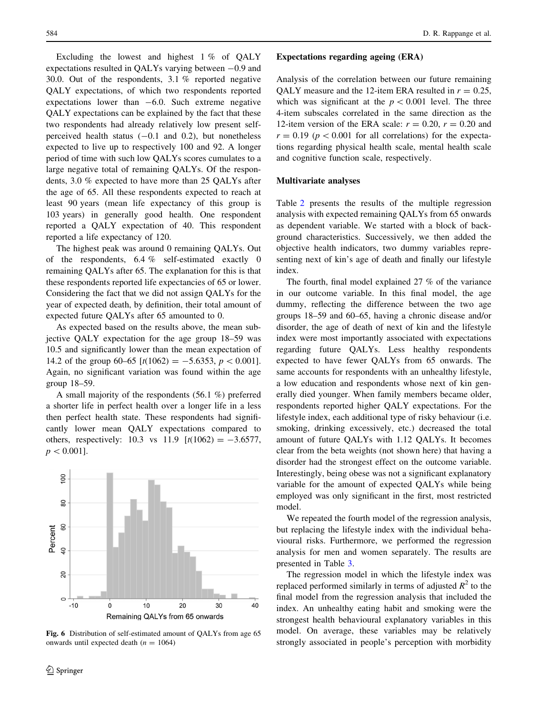<span id="page-7-0"></span>Excluding the lowest and highest 1 % of OALY expectations resulted in QALYs varying between  $-0.9$  and 30.0. Out of the respondents, 3.1 % reported negative QALY expectations, of which two respondents reported expectations lower than  $-6.0$ . Such extreme negative QALY expectations can be explained by the fact that these two respondents had already relatively low present selfperceived health status  $(-0.1 \text{ and } 0.2)$ , but nonetheless expected to live up to respectively 100 and 92. A longer period of time with such low QALYs scores cumulates to a large negative total of remaining QALYs. Of the respondents, 3.0 % expected to have more than 25 QALYs after the age of 65. All these respondents expected to reach at least 90 years (mean life expectancy of this group is 103 years) in generally good health. One respondent reported a QALY expectation of 40. This respondent reported a life expectancy of 120.

The highest peak was around 0 remaining QALYs. Out of the respondents, 6.4 % self-estimated exactly 0 remaining QALYs after 65. The explanation for this is that these respondents reported life expectancies of 65 or lower. Considering the fact that we did not assign QALYs for the year of expected death, by definition, their total amount of expected future QALYs after 65 amounted to 0.

As expected based on the results above, the mean subjective QALY expectation for the age group 18–59 was 10.5 and significantly lower than the mean expectation of 14.2 of the group 60–65  $[t(1062) = -5.6353, p < 0.001]$ . Again, no significant variation was found within the age group 18–59.

A small majority of the respondents (56.1 %) preferred a shorter life in perfect health over a longer life in a less then perfect health state. These respondents had significantly lower mean QALY expectations compared to others, respectively: 10.3 vs 11.9  $[t(1062) = -3.6577]$ ,  $p<0.001$ .



Fig. 6 Distribution of self-estimated amount of QALYs from age 65 onwards until expected death ( $n = 1064$ )

#### Expectations regarding ageing (ERA)

Analysis of the correlation between our future remaining OALY measure and the 12-item ERA resulted in  $r = 0.25$ , which was significant at the  $p < 0.001$  level. The three 4-item subscales correlated in the same direction as the 12-item version of the ERA scale:  $r = 0.20$ ,  $r = 0.20$  and  $r = 0.19$  ( $p < 0.001$  for all correlations) for the expectations regarding physical health scale, mental health scale and cognitive function scale, respectively.

#### Multivariate analyses

Table [2](#page-8-0) presents the results of the multiple regression analysis with expected remaining QALYs from 65 onwards as dependent variable. We started with a block of background characteristics. Successively, we then added the objective health indicators, two dummy variables representing next of kin's age of death and finally our lifestyle index.

The fourth, final model explained 27 % of the variance in our outcome variable. In this final model, the age dummy, reflecting the difference between the two age groups 18–59 and 60–65, having a chronic disease and/or disorder, the age of death of next of kin and the lifestyle index were most importantly associated with expectations regarding future QALYs. Less healthy respondents expected to have fewer QALYs from 65 onwards. The same accounts for respondents with an unhealthy lifestyle, a low education and respondents whose next of kin generally died younger. When family members became older, respondents reported higher QALY expectations. For the lifestyle index, each additional type of risky behaviour (i.e. smoking, drinking excessively, etc.) decreased the total amount of future QALYs with 1.12 QALYs. It becomes clear from the beta weights (not shown here) that having a disorder had the strongest effect on the outcome variable. Interestingly, being obese was not a significant explanatory variable for the amount of expected QALYs while being employed was only significant in the first, most restricted model.

We repeated the fourth model of the regression analysis, but replacing the lifestyle index with the individual behavioural risks. Furthermore, we performed the regression analysis for men and women separately. The results are presented in Table [3](#page-9-0).

The regression model in which the lifestyle index was replaced performed similarly in terms of adjusted  $R^2$  to the final model from the regression analysis that included the index. An unhealthy eating habit and smoking were the strongest health behavioural explanatory variables in this model. On average, these variables may be relatively strongly associated in people's perception with morbidity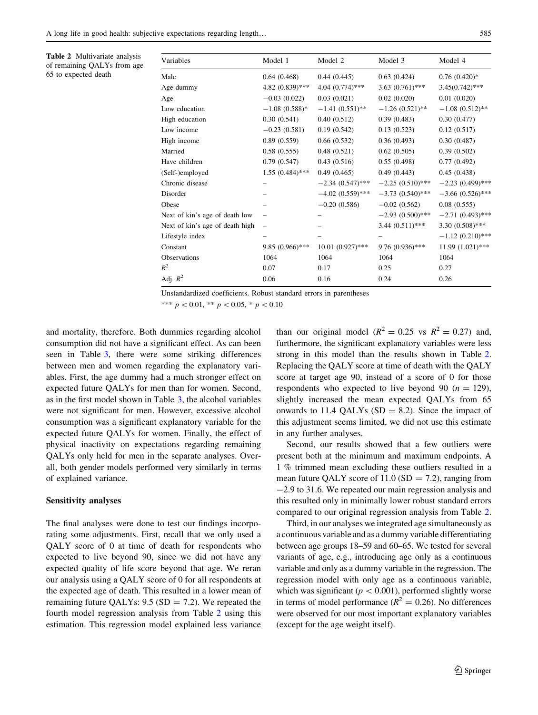<span id="page-8-0"></span>Table 2 Multivariate analysis of remaining QALYs from age 65 to expected death

| Variables                       | Model 1           | Model 2            | Model 3            | Model 4            |
|---------------------------------|-------------------|--------------------|--------------------|--------------------|
| Male                            | 0.64(0.468)       | 0.44(0.445)        | 0.63(0.424)        | $0.76(0.420)*$     |
| Age dummy                       | 4.82 (0.839)***   | $4.04(0.774)$ ***  | $3.63(0.761)$ ***  | $3.45(0.742)$ ***  |
| Age                             | $-0.03(0.022)$    | 0.03(0.021)        | 0.02(0.020)        | 0.01(0.020)        |
| Low education                   | $-1.08(0.588)*$   | $-1.41(0.551)$ **  | $-1.26(0.521)$ **  | $-1.08(0.512)$ **  |
| High education                  | 0.30(0.541)       | 0.40(0.512)        | 0.39(0.483)        | 0.30(0.477)        |
| Low income                      | $-0.23(0.581)$    | 0.19(0.542)        | 0.13(0.523)        | 0.12(0.517)        |
| High income                     | 0.89(0.559)       | 0.66(0.532)        | 0.36(0.493)        | 0.30(0.487)        |
| Married                         | 0.58(0.555)       | 0.48(0.521)        | 0.62(0.505)        | 0.39(0.502)        |
| Have children                   | 0.79(0.547)       | 0.43(0.516)        | 0.55(0.498)        | 0.77(0.492)        |
| (Self-)employed                 | $1.55(0.484)$ *** | 0.49(0.465)        | 0.49(0.443)        | 0.45(0.438)        |
| Chronic disease                 |                   | $-2.34(0.547)$ *** | $-2.25(0.510)$ *** | $-2.23(0.499)$ *** |
| Disorder                        |                   | $-4.02(0.559)$ *** | $-3.73(0.540)$ *** | $-3.66(0.526)$ *** |
| Obese                           |                   | $-0.20(0.586)$     | $-0.02(0.562)$     | 0.08(0.555)        |
| Next of kin's age of death low  |                   |                    | $-2.93(0.500)$ *** | $-2.71(0.493)$ *** |
| Next of kin's age of death high |                   |                    | $3.44(0.511)$ ***  | $3.30(0.508)$ ***  |
| Lifestyle index                 |                   |                    |                    | $-1.12(0.210)$ *** |
| Constant                        | $9.85(0.966)$ *** | $10.01(0.927)$ *** | $9.76(0.936)$ ***  | 11.99 (1.021)***   |
| Observations                    | 1064              | 1064               | 1064               | 1064               |
| $R^2$                           | 0.07              | 0.17               | 0.25               | 0.27               |
| Adj. $R^2$                      | 0.06              | 0.16               | 0.24               | 0.26               |
|                                 |                   |                    |                    |                    |

Unstandardized coefficients. Robust standard errors in parentheses

\*\*\*  $p < 0.01$ , \*\*  $p < 0.05$ , \*  $p < 0.10$ 

and mortality, therefore. Both dummies regarding alcohol consumption did not have a significant effect. As can been seen in Table [3](#page-9-0), there were some striking differences between men and women regarding the explanatory variables. First, the age dummy had a much stronger effect on expected future QALYs for men than for women. Second, as in the first model shown in Table [3,](#page-9-0) the alcohol variables were not significant for men. However, excessive alcohol consumption was a significant explanatory variable for the expected future QALYs for women. Finally, the effect of physical inactivity on expectations regarding remaining QALYs only held for men in the separate analyses. Overall, both gender models performed very similarly in terms of explained variance.

#### Sensitivity analyses

The final analyses were done to test our findings incorporating some adjustments. First, recall that we only used a QALY score of 0 at time of death for respondents who expected to live beyond 90, since we did not have any expected quality of life score beyond that age. We reran our analysis using a QALY score of 0 for all respondents at the expected age of death. This resulted in a lower mean of remaining future QALYs:  $9.5$  (SD = 7.2). We repeated the fourth model regression analysis from Table 2 using this estimation. This regression model explained less variance than our original model ( $R^2 = 0.25$  vs  $R^2 = 0.27$ ) and, furthermore, the significant explanatory variables were less strong in this model than the results shown in Table 2. Replacing the QALY score at time of death with the QALY score at target age 90, instead of a score of 0 for those respondents who expected to live beyond 90 ( $n = 129$ ), slightly increased the mean expected QALYs from 65 onwards to 11.4 QALYs  $(SD = 8.2)$ . Since the impact of this adjustment seems limited, we did not use this estimate in any further analyses.

Second, our results showed that a few outliers were present both at the minimum and maximum endpoints. A 1 % trimmed mean excluding these outliers resulted in a mean future QALY score of  $11.0$  (SD = 7.2), ranging from -2.9 to 31.6. We repeated our main regression analysis and this resulted only in minimally lower robust standard errors compared to our original regression analysis from Table 2.

Third, in our analyses we integrated age simultaneously as a continuous variable and as a dummy variable differentiating between age groups 18–59 and 60–65. We tested for several variants of age, e.g., introducing age only as a continuous variable and only as a dummy variable in the regression. The regression model with only age as a continuous variable, which was significant ( $p < 0.001$ ), performed slightly worse in terms of model performance ( $R^2 = 0.26$ ). No differences were observed for our most important explanatory variables (except for the age weight itself).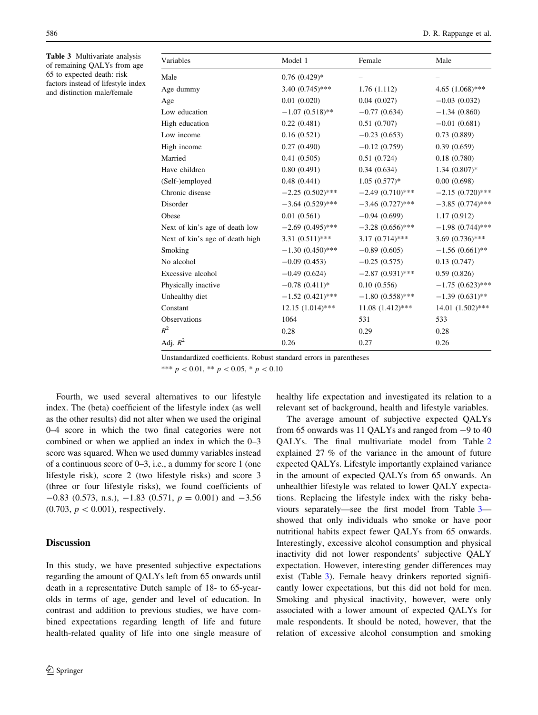<span id="page-9-0"></span>Table 3 Multivariate analysis of remaining QALYs from age 65 to expected death: risk factors instead of lifestyle index and distinction male/female

| Model 1            | Female             | Male               |
|--------------------|--------------------|--------------------|
| $0.76(0.429)*$     |                    |                    |
| $3.40(0.745)$ ***  | 1.76(1.112)        | 4.65 $(1.068)$ *** |
| 0.01(0.020)        | 0.04(0.027)        | $-0.03(0.032)$     |
| $-1.07(0.518)$ **  | $-0.77(0.634)$     | $-1.34(0.860)$     |
| 0.22(0.481)        | 0.51(0.707)        | $-0.01(0.681)$     |
| 0.16(0.521)        | $-0.23(0.653)$     | 0.73(0.889)        |
| 0.27(0.490)        | $-0.12(0.759)$     | 0.39(0.659)        |
| 0.41(0.505)        | 0.51(0.724)        | 0.18(0.780)        |
| 0.80(0.491)        | 0.34(0.634)        | $1.34(0.807)*$     |
| 0.48(0.441)        | $1.05(0.577)*$     | 0.00(0.698)        |
| $-2.25(0.502)$ *** | $-2.49(0.710)$ *** | $-2.15(0.720)$ *** |
| $-3.64(0.529)$ *** | $-3.46(0.727)$ *** | $-3.85(0.774)$ *** |
| 0.01(0.561)        | $-0.94(0.699)$     | 1.17(0.912)        |
| $-2.69(0.495)$ *** | $-3.28(0.656)$ *** | $-1.98(0.744)$ *** |
| $3.31(0.511)$ ***  | $3.17(0.714)$ ***  | $3.69(0.736)$ ***  |
| $-1.30(0.450)$ *** | $-0.89(0.605)$     | $-1.56(0.661)$ **  |
| $-0.09(0.453)$     | $-0.25(0.575)$     | 0.13(0.747)        |
| $-0.49(0.624)$     | $-2.87(0.931)$ *** | 0.59(0.826)        |
| $-0.78(0.411)*$    | 0.10(0.556)        | $-1.75(0.623)$ *** |
| $-1.52(0.421)$ *** | $-1.80(0.558)$ *** | $-1.39(0.631)$ **  |
| $12.15(1.014)$ *** | $11.08(1.412)$ *** | 14.01 (1.502)***   |
| 1064               | 531                | 533                |
| 0.28               | 0.29               | 0.28               |
| 0.26               | 0.27               | 0.26               |
|                    |                    |                    |

Unstandardized coefficients. Robust standard errors in parentheses

\*\*\*  $p < 0.01$ , \*\*  $p < 0.05$ , \*  $p < 0.10$ 

Fourth, we used several alternatives to our lifestyle index. The (beta) coefficient of the lifestyle index (as well as the other results) did not alter when we used the original 0–4 score in which the two final categories were not combined or when we applied an index in which the 0–3 score was squared. When we used dummy variables instead of a continuous score of 0–3, i.e., a dummy for score 1 (one lifestyle risk), score 2 (two lifestyle risks) and score 3 (three or four lifestyle risks), we found coefficients of  $-0.83$  (0.573, n.s.),  $-1.83$  (0.571,  $p = 0.001$ ) and  $-3.56$  $(0.703, p < 0.001)$ , respectively.

## **Discussion**

In this study, we have presented subjective expectations regarding the amount of QALYs left from 65 onwards until death in a representative Dutch sample of 18- to 65-yearolds in terms of age, gender and level of education. In contrast and addition to previous studies, we have combined expectations regarding length of life and future health-related quality of life into one single measure of healthy life expectation and investigated its relation to a relevant set of background, health and lifestyle variables.

The average amount of subjective expected QALYs from 65 onwards was 11 OALYs and ranged from  $-9$  to 40 QALYs. The final multivariate model from Table [2](#page-8-0) explained 27 % of the variance in the amount of future expected QALYs. Lifestyle importantly explained variance in the amount of expected QALYs from 65 onwards. An unhealthier lifestyle was related to lower QALY expectations. Replacing the lifestyle index with the risky behaviours separately—see the first model from Table 3 showed that only individuals who smoke or have poor nutritional habits expect fewer QALYs from 65 onwards. Interestingly, excessive alcohol consumption and physical inactivity did not lower respondents' subjective QALY expectation. However, interesting gender differences may exist (Table 3). Female heavy drinkers reported significantly lower expectations, but this did not hold for men. Smoking and physical inactivity, however, were only associated with a lower amount of expected QALYs for male respondents. It should be noted, however, that the relation of excessive alcohol consumption and smoking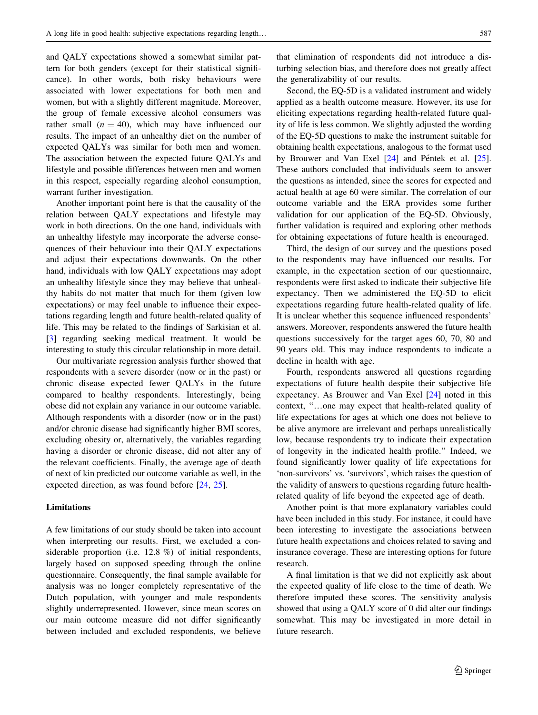and QALY expectations showed a somewhat similar pattern for both genders (except for their statistical significance). In other words, both risky behaviours were associated with lower expectations for both men and women, but with a slightly different magnitude. Moreover, the group of female excessive alcohol consumers was rather small  $(n = 40)$ , which may have influenced our results. The impact of an unhealthy diet on the number of expected QALYs was similar for both men and women. The association between the expected future QALYs and lifestyle and possible differences between men and women in this respect, especially regarding alcohol consumption, warrant further investigation.

Another important point here is that the causality of the relation between QALY expectations and lifestyle may work in both directions. On the one hand, individuals with an unhealthy lifestyle may incorporate the adverse consequences of their behaviour into their QALY expectations and adjust their expectations downwards. On the other hand, individuals with low QALY expectations may adopt an unhealthy lifestyle since they may believe that unhealthy habits do not matter that much for them (given low expectations) or may feel unable to influence their expectations regarding length and future health-related quality of life. This may be related to the findings of Sarkisian et al. [\[3](#page-12-0)] regarding seeking medical treatment. It would be interesting to study this circular relationship in more detail.

Our multivariate regression analysis further showed that respondents with a severe disorder (now or in the past) or chronic disease expected fewer QALYs in the future compared to healthy respondents. Interestingly, being obese did not explain any variance in our outcome variable. Although respondents with a disorder (now or in the past) and/or chronic disease had significantly higher BMI scores, excluding obesity or, alternatively, the variables regarding having a disorder or chronic disease, did not alter any of the relevant coefficients. Finally, the average age of death of next of kin predicted our outcome variable as well, in the expected direction, as was found before [[24,](#page-12-0) [25\]](#page-12-0).

## Limitations

A few limitations of our study should be taken into account when interpreting our results. First, we excluded a considerable proportion (i.e. 12.8 %) of initial respondents, largely based on supposed speeding through the online questionnaire. Consequently, the final sample available for analysis was no longer completely representative of the Dutch population, with younger and male respondents slightly underrepresented. However, since mean scores on our main outcome measure did not differ significantly between included and excluded respondents, we believe

that elimination of respondents did not introduce a disturbing selection bias, and therefore does not greatly affect the generalizability of our results.

Second, the EQ-5D is a validated instrument and widely applied as a health outcome measure. However, its use for eliciting expectations regarding health-related future quality of life is less common. We slightly adjusted the wording of the EQ-5D questions to make the instrument suitable for obtaining health expectations, analogous to the format used by Brouwer and Van Exel  $[24]$  $[24]$  and Péntek et al.  $[25]$  $[25]$ . These authors concluded that individuals seem to answer the questions as intended, since the scores for expected and actual health at age 60 were similar. The correlation of our outcome variable and the ERA provides some further validation for our application of the EQ-5D. Obviously, further validation is required and exploring other methods for obtaining expectations of future health is encouraged.

Third, the design of our survey and the questions posed to the respondents may have influenced our results. For example, in the expectation section of our questionnaire, respondents were first asked to indicate their subjective life expectancy. Then we administered the EQ-5D to elicit expectations regarding future health-related quality of life. It is unclear whether this sequence influenced respondents' answers. Moreover, respondents answered the future health questions successively for the target ages 60, 70, 80 and 90 years old. This may induce respondents to indicate a decline in health with age.

Fourth, respondents answered all questions regarding expectations of future health despite their subjective life expectancy. As Brouwer and Van Exel [\[24](#page-12-0)] noted in this context, ''…one may expect that health-related quality of life expectations for ages at which one does not believe to be alive anymore are irrelevant and perhaps unrealistically low, because respondents try to indicate their expectation of longevity in the indicated health profile.'' Indeed, we found significantly lower quality of life expectations for 'non-survivors' vs. 'survivors', which raises the question of the validity of answers to questions regarding future healthrelated quality of life beyond the expected age of death.

Another point is that more explanatory variables could have been included in this study. For instance, it could have been interesting to investigate the associations between future health expectations and choices related to saving and insurance coverage. These are interesting options for future research.

A final limitation is that we did not explicitly ask about the expected quality of life close to the time of death. We therefore imputed these scores. The sensitivity analysis showed that using a QALY score of 0 did alter our findings somewhat. This may be investigated in more detail in future research.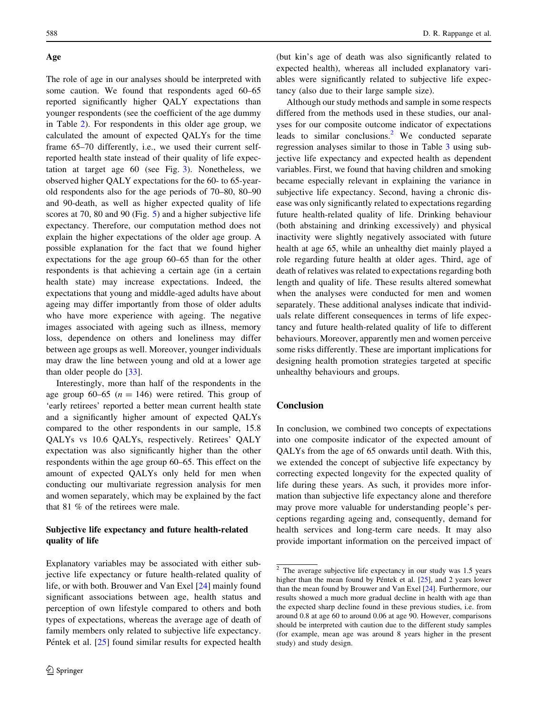## Age

The role of age in our analyses should be interpreted with some caution. We found that respondents aged 60–65 reported significantly higher QALY expectations than younger respondents (see the coefficient of the age dummy in Table [2](#page-8-0)). For respondents in this older age group, we calculated the amount of expected QALYs for the time frame 65–70 differently, i.e., we used their current selfreported health state instead of their quality of life expectation at target age 60 (see Fig. [3](#page-4-0)). Nonetheless, we observed higher QALY expectations for the 60- to 65-yearold respondents also for the age periods of 70–80, 80–90 and 90-death, as well as higher expected quality of life scores at 70, 80 and 90 (Fig. [5\)](#page-6-0) and a higher subjective life expectancy. Therefore, our computation method does not explain the higher expectations of the older age group. A possible explanation for the fact that we found higher expectations for the age group 60–65 than for the other respondents is that achieving a certain age (in a certain health state) may increase expectations. Indeed, the expectations that young and middle-aged adults have about ageing may differ importantly from those of older adults who have more experience with ageing. The negative images associated with ageing such as illness, memory loss, dependence on others and loneliness may differ between age groups as well. Moreover, younger individuals may draw the line between young and old at a lower age than older people do [\[33](#page-12-0)].

Interestingly, more than half of the respondents in the age group 60–65 ( $n = 146$ ) were retired. This group of 'early retirees' reported a better mean current health state and a significantly higher amount of expected QALYs compared to the other respondents in our sample, 15.8 QALYs vs 10.6 QALYs, respectively. Retirees' QALY expectation was also significantly higher than the other respondents within the age group 60–65. This effect on the amount of expected QALYs only held for men when conducting our multivariate regression analysis for men and women separately, which may be explained by the fact that 81 % of the retirees were male.

# Subjective life expectancy and future health-related quality of life

Explanatory variables may be associated with either subjective life expectancy or future health-related quality of life, or with both. Brouwer and Van Exel [[24\]](#page-12-0) mainly found significant associations between age, health status and perception of own lifestyle compared to others and both types of expectations, whereas the average age of death of family members only related to subjective life expectancy. Péntek et al. [[25\]](#page-12-0) found similar results for expected health

(but kin's age of death was also significantly related to expected health), whereas all included explanatory variables were significantly related to subjective life expectancy (also due to their large sample size).

Although our study methods and sample in some respects differed from the methods used in these studies, our analyses for our composite outcome indicator of expectations leads to similar conclusions.<sup>2</sup> We conducted separate regression analyses similar to those in Table [3](#page-9-0) using subjective life expectancy and expected health as dependent variables. First, we found that having children and smoking became especially relevant in explaining the variance in subjective life expectancy. Second, having a chronic disease was only significantly related to expectations regarding future health-related quality of life. Drinking behaviour (both abstaining and drinking excessively) and physical inactivity were slightly negatively associated with future health at age 65, while an unhealthy diet mainly played a role regarding future health at older ages. Third, age of death of relatives was related to expectations regarding both length and quality of life. These results altered somewhat when the analyses were conducted for men and women separately. These additional analyses indicate that individuals relate different consequences in terms of life expectancy and future health-related quality of life to different behaviours. Moreover, apparently men and women perceive some risks differently. These are important implications for designing health promotion strategies targeted at specific unhealthy behaviours and groups.

# Conclusion

In conclusion, we combined two concepts of expectations into one composite indicator of the expected amount of QALYs from the age of 65 onwards until death. With this, we extended the concept of subjective life expectancy by correcting expected longevity for the expected quality of life during these years. As such, it provides more information than subjective life expectancy alone and therefore may prove more valuable for understanding people's perceptions regarding ageing and, consequently, demand for health services and long-term care needs. It may also provide important information on the perceived impact of

<sup>2</sup> The average subjective life expectancy in our study was 1.5 years higher than the mean found by Péntek et al.  $[25]$  $[25]$  $[25]$ , and 2 years lower than the mean found by Brouwer and Van Exel [[24](#page-12-0)]. Furthermore, our results showed a much more gradual decline in health with age than the expected sharp decline found in these previous studies, i.e. from around 0.8 at age 60 to around 0.06 at age 90. However, comparisons should be interpreted with caution due to the different study samples (for example, mean age was around 8 years higher in the present study) and study design.